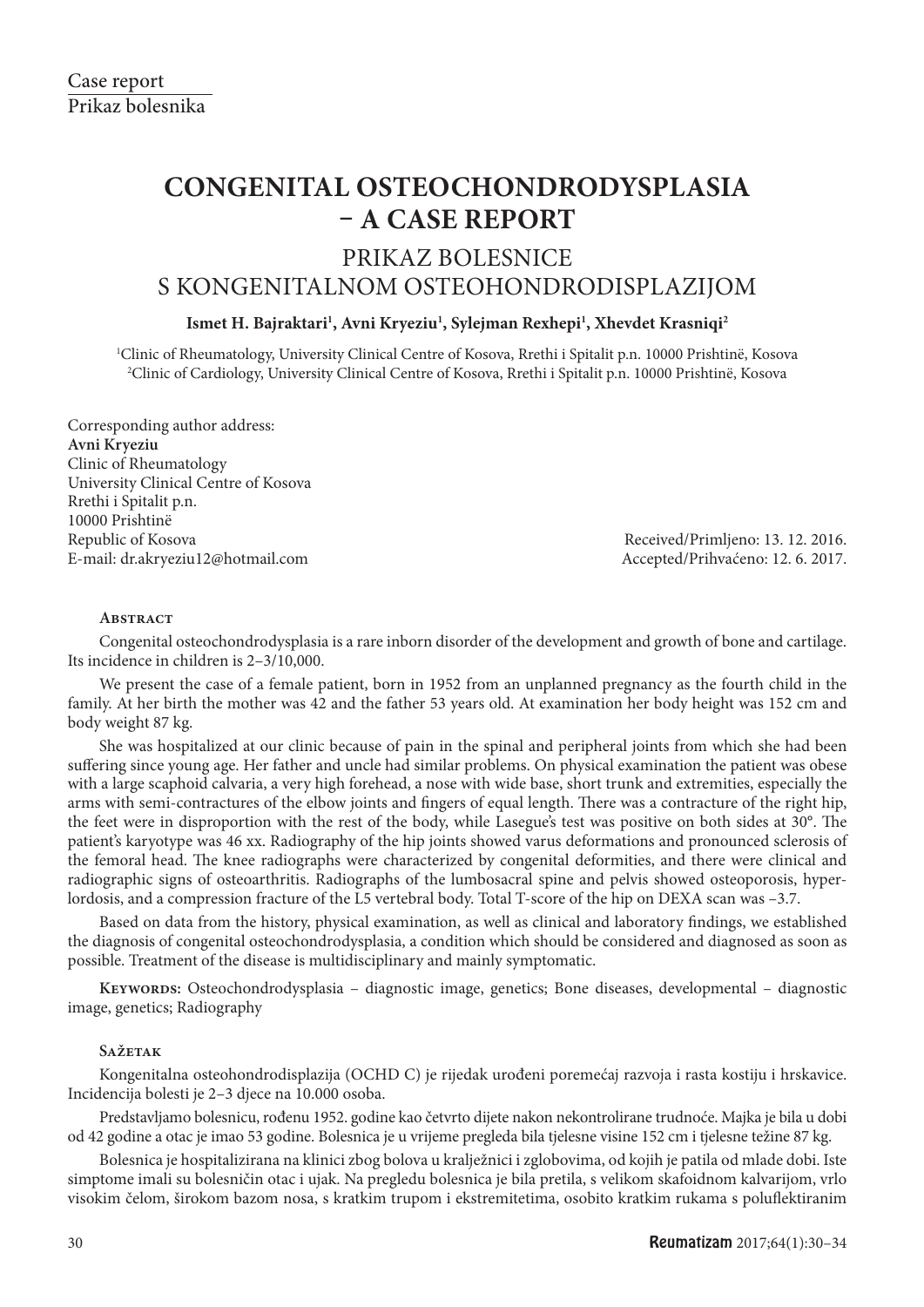# **CONGENITAL OSTEOCHONDRODYSPLASIA – A CASE REPORT**

# PRIKAZ BOLESNICE

## S KONGENITALNOM OSTEOHONDRODISPLAZIJOM

### **Ismet H. Bajraktari1 , Avni Kryeziu1 , Sylejman Rexhepi1 , Xhevdet Krasniqi2**

1 Clinic of Rheumatology, University Clinical Centre of Kosova, Rrethi i Spitalit p.n. 10000 Prishtinë, Kosova 2 Clinic of Cardiology, University Clinical Centre of Kosova, Rrethi i Spitalit p.n. 10000 Prishtinë, Kosova

Corresponding author address: **Avni Kryeziu** Clinic of Rheumatology University Clinical Centre of Kosova Rrethi i Spitalit p.n. 10000 Prishtinë Republic of Kosova Received/Primljeno: 13. 12. 2016. E-mail: dr.akryeziu12@hotmail.com Accepted/Prihvaćeno: 12. 6. 2017.

#### **Abstract**

Congenital osteochondrodysplasia is a rare inborn disorder of the development and growth of bone and cartilage. Its incidence in children is 2–3/10,000.

We present the case of a female patient, born in 1952 from an unplanned pregnancy as the fourth child in the family. At her birth the mother was 42 and the father 53 years old. At examination her body height was 152 cm and body weight 87 kg.

She was hospitalized at our clinic because of pain in the spinal and peripheral joints from which she had been suffering since young age. Her father and uncle had similar problems. On physical examination the patient was obese with a large scaphoid calvaria, a very high forehead, a nose with wide base, short trunk and extremities, especially the arms with semi-contractures of the elbow joints and fingers of equal length. There was a contracture of the right hip, the feet were in disproportion with the rest of the body, while Lasegue's test was positive on both sides at 30°. The patient's karyotype was 46 xx. Radiography of the hip joints showed varus deformations and pronounced sclerosis of the femoral head. The knee radiographs were characterized by congenital deformities, and there were clinical and radiographic signs of osteoarthritis. Radiographs of the lumbosacral spine and pelvis showed osteoporosis, hyperlordosis, and a compression fracture of the L5 vertebral body. Total T-score of the hip on DEXA scan was –3.7.

Based on data from the history, physical examination, as well as clinical and laboratory findings, we established the diagnosis of congenital osteochondrodysplasia, a condition which should be considered and diagnosed as soon as possible. Treatment of the disease is multidisciplinary and mainly symptomatic.

**Keywords:** Osteochondrodysplasia – diagnostic image, genetics; Bone diseases, developmental – diagnostic image, genetics; Radiography

#### **Sažetak**

Kongenitalna osteohondrodisplazija (OCHD C) je rijedak urođeni poremećaj razvoja i rasta kostiju i hrskavice. Incidencija bolesti je 2–3 djece na 10.000 osoba.

Predstavljamo bolesnicu, rođenu 1952. godine kao četvrto dijete nakon nekontrolirane trudnoće. Majka je bila u dobi od 42 godine a otac je imao 53 godine. Bolesnica je u vrijeme pregleda bila tjelesne visine 152 cm i tjelesne težine 87 kg.

Bolesnica je hospitalizirana na klinici zbog bolova u kralježnici i zglobovima, od kojih je patila od mlade dobi. Iste simptome imali su bolesničin otac i ujak. Na pregledu bolesnica je bila pretila, s velikom skafoidnom kalvarijom, vrlo visokim čelom, širokom bazom nosa, s kratkim trupom i ekstremitetima, osobito kratkim rukama s poluflektiranim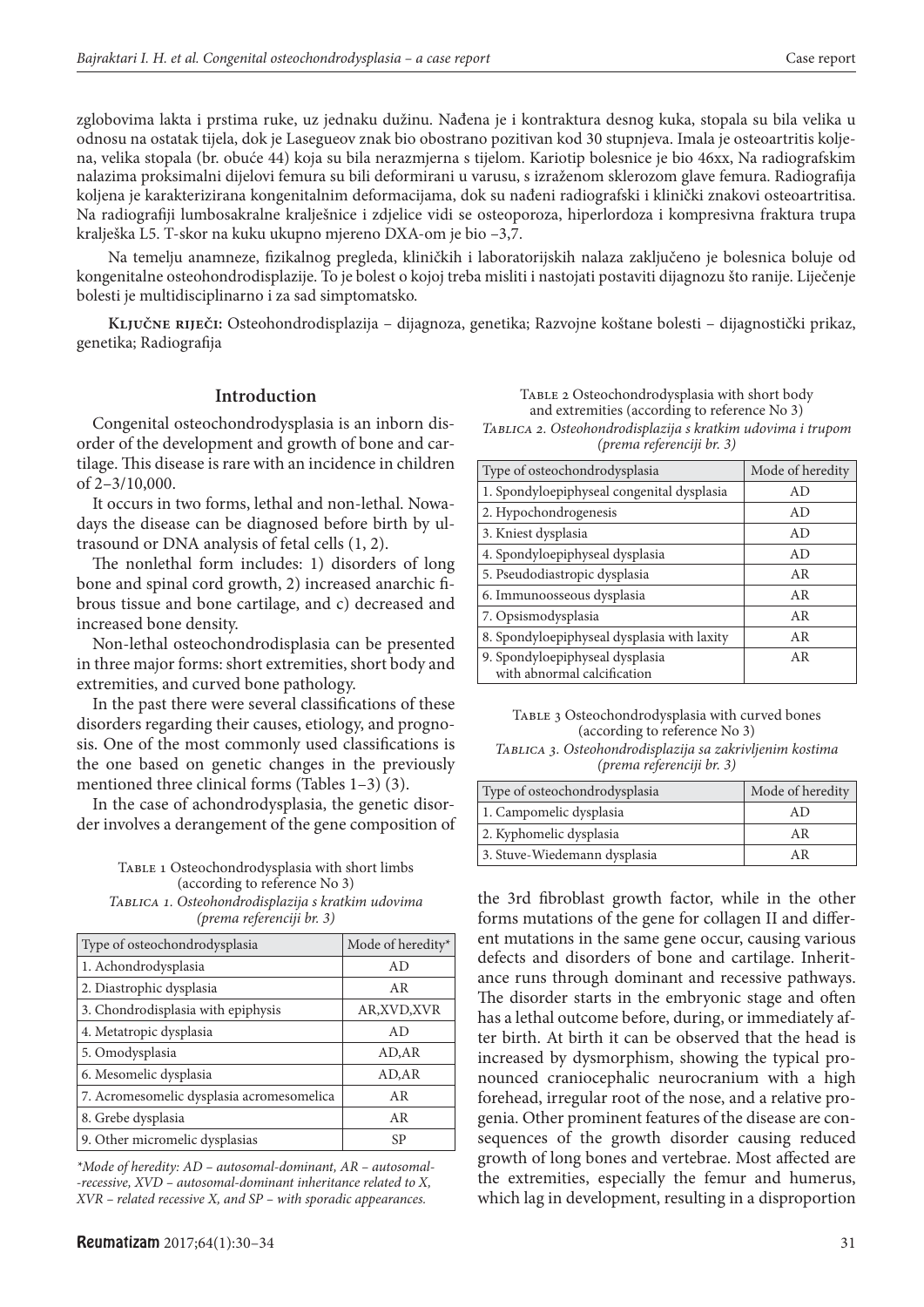zglobovima lakta i prstima ruke, uz jednaku dužinu. Nađena je i kontraktura desnog kuka, stopala su bila velika u odnosu na ostatak tijela, dok je Lasegueov znak bio obostrano pozitivan kod 30 stupnjeva. Imala je osteoartritis koljena, velika stopala (br. obuće 44) koja su bila nerazmjerna s tijelom. Kariotip bolesnice je bio 46xx, Na radiografskim nalazima proksimalni dijelovi femura su bili deformirani u varusu, s izraženom sklerozom glave femura. Radiografija koljena je karakterizirana kongenitalnim deformacijama, dok su nađeni radiografski i klinički znakovi osteoartritisa. Na radiografiji lumbosakralne kralješnice i zdjelice vidi se osteoporoza, hiperlordoza i kompresivna fraktura trupa kralješka L5. T-skor na kuku ukupno mjereno DXA-om je bio –3,7.

Na temelju anamneze, fizikalnog pregleda, kliničkih i laboratorijskih nalaza zaključeno je bolesnica boluje od kongenitalne osteohondrodisplazije. To je bolest o kojoj treba misliti i nastojati postaviti dijagnozu što ranije. Liječenje bolesti je multidisciplinarno i za sad simptomatsko.

**Ključne riječi:** Osteohondrodisplazija – dijagnoza, genetika; Razvojne koštane bolesti – dijagnostički prikaz, genetika; Radiografija

#### **Introduction**

Congenital osteochondrodysplasia is an inborn disorder of the development and growth of bone and cartilage. This disease is rare with an incidence in children of 2–3/10,000.

It occurs in two forms, lethal and non-lethal. Nowadays the disease can be diagnosed before birth by ultrasound or DNA analysis of fetal cells (1, 2).

The nonlethal form includes: 1) disorders of long bone and spinal cord growth, 2) increased anarchic fibrous tissue and bone cartilage, and c) decreased and increased bone density.

Non-lethal osteochondrodisplasia can be presented in three major forms: short extremities, short body and extremities, and curved bone pathology.

In the past there were several classifications of these disorders regarding their causes, etiology, and prognosis. One of the most commonly used classifications is the one based on genetic changes in the previously mentioned three clinical forms (Tables 1–3) (3).

In the case of achondrodysplasia, the genetic disorder involves a derangement of the gene composition of

TABLE 1 Osteochondrodysplasia with short limbs (according to reference No 3) *Tablica 1. Osteohondrodisplazija s kratkim udovima (prema referenciji br. 3)*

| Type of osteochondrodysplasia             | Mode of heredity* |
|-------------------------------------------|-------------------|
| 1. Achondrodysplasia                      | AD                |
| 2. Diastrophic dysplasia                  | AR                |
| 3. Chondrodisplasia with epiphysis        | AR, XVD, XVR      |
| 4. Metatropic dysplasia                   | AD                |
| 5. Omodysplasia                           | AD, AR            |
| 6. Mesomelic dysplasia                    | AD, AR            |
| 7. Acromesomelic dysplasia acromesomelica | AR                |
| 8. Grebe dysplasia                        | AR                |
| 9. Other micromelic dysplasias            | SP                |

*\*Mode of heredity: AD – autosomal-dominant, AR – autosomal- -recessive, XVD – autosomal-dominant inheritance related to X, XVR – related recessive X, and SP – with sporadic appearances.*

TABLE 2 Osteochondrodysplasia with short body and extremities (according to reference No 3) *Tablica 2. Osteohondrodisplazija s kratkim udovima i trupom (prema referenciji br. 3)*

| Type of osteochondrodysplasia                                  | Mode of heredity |
|----------------------------------------------------------------|------------------|
| 1. Spondyloepiphyseal congenital dysplasia                     | AD               |
| 2. Hypochondrogenesis                                          | AD.              |
| 3. Kniest dysplasia                                            | AD.              |
| 4. Spondyloepiphyseal dysplasia                                | AD               |
| 5. Pseudodiastropic dysplasia                                  | AR               |
| 6. Immunoosseous dysplasia                                     | AR               |
| 7. Opsismodysplasia                                            | AR               |
| 8. Spondyloepiphyseal dysplasia with laxity                    | AR               |
| 9. Spondyloepiphyseal dysplasia<br>with abnormal calcification | AR               |

TABLE 3 Osteochondrodysplasia with curved bones (according to reference No 3) *Tablica 3. Osteohondrodisplazija sa zakrivljenim kostima (prema referenciji br. 3)*

| Type of osteochondrodysplasia | Mode of heredity |
|-------------------------------|------------------|
| 1. Campomelic dysplasia       | AD.              |
| 2. Kyphomelic dysplasia       | ΑR               |
| 3. Stuve-Wiedemann dysplasia  | ΑR               |

the 3rd fibroblast growth factor, while in the other forms mutations of the gene for collagen II and different mutations in the same gene occur, causing various defects and disorders of bone and cartilage. Inheritance runs through dominant and recessive pathways. The disorder starts in the embryonic stage and often has a lethal outcome before, during, or immediately after birth. At birth it can be observed that the head is increased by dysmorphism, showing the typical pronounced craniocephalic neurocranium with a high forehead, irregular root of the nose, and a relative progenia. Other prominent features of the disease are consequences of the growth disorder causing reduced growth of long bones and vertebrae. Most affected are the extremities, especially the femur and humerus, which lag in development, resulting in a disproportion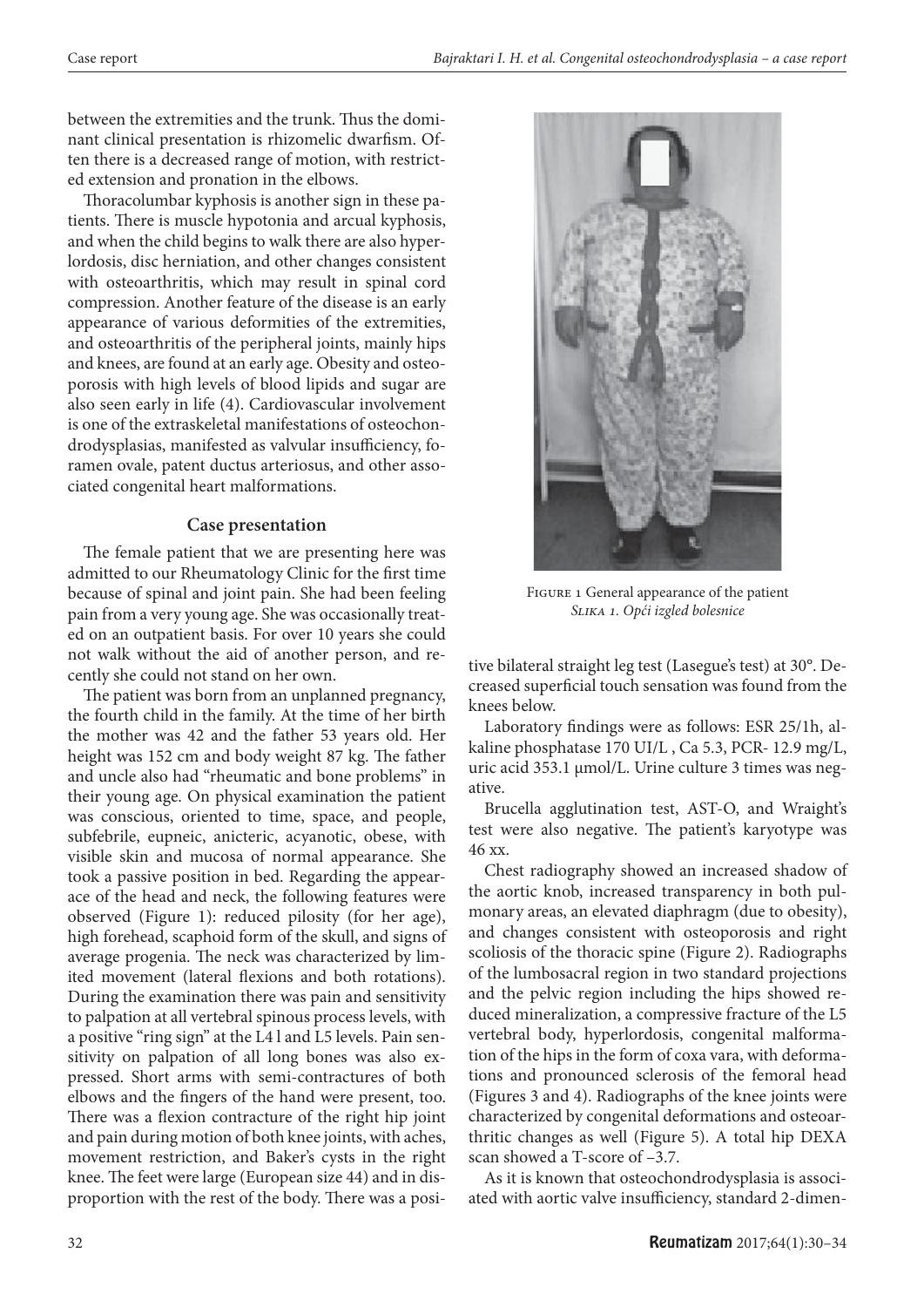between the extremities and the trunk. Thus the dominant clinical presentation is rhizomelic dwarfism. Often there is a decreased range of motion, with restricted extension and pronation in the elbows.

Thoracolumbar kyphosis is another sign in these patients. There is muscle hypotonia and arcual kyphosis, and when the child begins to walk there are also hyperlordosis, disc herniation, and other changes consistent with osteoarthritis, which may result in spinal cord compression. Another feature of the disease is an early appearance of various deformities of the extremities, and osteoarthritis of the peripheral joints, mainly hips and knees, are found at an early age. Obesity and osteoporosis with high levels of blood lipids and sugar are also seen early in life (4). Cardiovascular involvement is one of the extraskeletal manifestations of osteochondrodysplasias, manifested as valvular insufficiency, foramen ovale, patent ductus arteriosus, and other associated congenital heart malformations.

#### **Case presentation**

The female patient that we are presenting here was admitted to our Rheumatology Clinic for the first time because of spinal and joint pain. She had been feeling pain from a very young age. She was occasionally treated on an outpatient basis. For over 10 years she could not walk without the aid of another person, and recently she could not stand on her own.

The patient was born from an unplanned pregnancy, the fourth child in the family. At the time of her birth the mother was 42 and the father 53 years old. Her height was 152 cm and body weight 87 kg. The father and uncle also had "rheumatic and bone problems" in their young age. On physical examination the patient was conscious, oriented to time, space, and people, subfebrile, eupneic, anicteric, acyanotic, obese, with visible skin and mucosa of normal appearance. She took a passive position in bed. Regarding the appearace of the head and neck, the following features were observed (Figure 1): reduced pilosity (for her age), high forehead, scaphoid form of the skull, and signs of average progenia. The neck was characterized by limited movement (lateral flexions and both rotations). During the examination there was pain and sensitivity to palpation at all vertebral spinous process levels, with a positive "ring sign" at the L4 l and L5 levels. Pain sensitivity on palpation of all long bones was also expressed. Short arms with semi-contractures of both elbows and the fingers of the hand were present, too. There was a flexion contracture of the right hip joint and pain during motion of both knee joints, with aches, movement restriction, and Baker's cysts in the right knee. The feet were large (European size 44) and in disproportion with the rest of the body. There was a posi-



Figure 1 General appearance of the patient *Slika 1. Opći izgled bolesnice*

tive bilateral straight leg test (Lasegue's test) at 30°. Decreased superficial touch sensation was found from the knees below.

Laboratory findings were as follows: ESR 25/1h, alkaline phosphatase 170 UI/L , Ca 5.3, PCR- 12.9 mg/L, uric acid 353.1 μmol/L. Urine culture 3 times was negative.

Brucella agglutination test, AST-O, and Wraight's test were also negative. The patient's karyotype was 46 xx.

Chest radiography showed an increased shadow of the aortic knob, increased transparency in both pulmonary areas, an elevated diaphragm (due to obesity), and changes consistent with osteoporosis and right scoliosis of the thoracic spine (Figure 2). Radiographs of the lumbosacral region in two standard projections and the pelvic region including the hips showed reduced mineralization, a compressive fracture of the L5 vertebral body, hyperlordosis, congenital malformation of the hips in the form of coxa vara, with deformations and pronounced sclerosis of the femoral head (Figures 3 and 4). Radiographs of the knee joints were characterized by congenital deformations and osteoarthritic changes as well (Figure 5). A total hip DEXA scan showed a T-score of –3.7.

As it is known that osteochondrodysplasia is associated with aortic valve insufficiency, standard 2-dimen-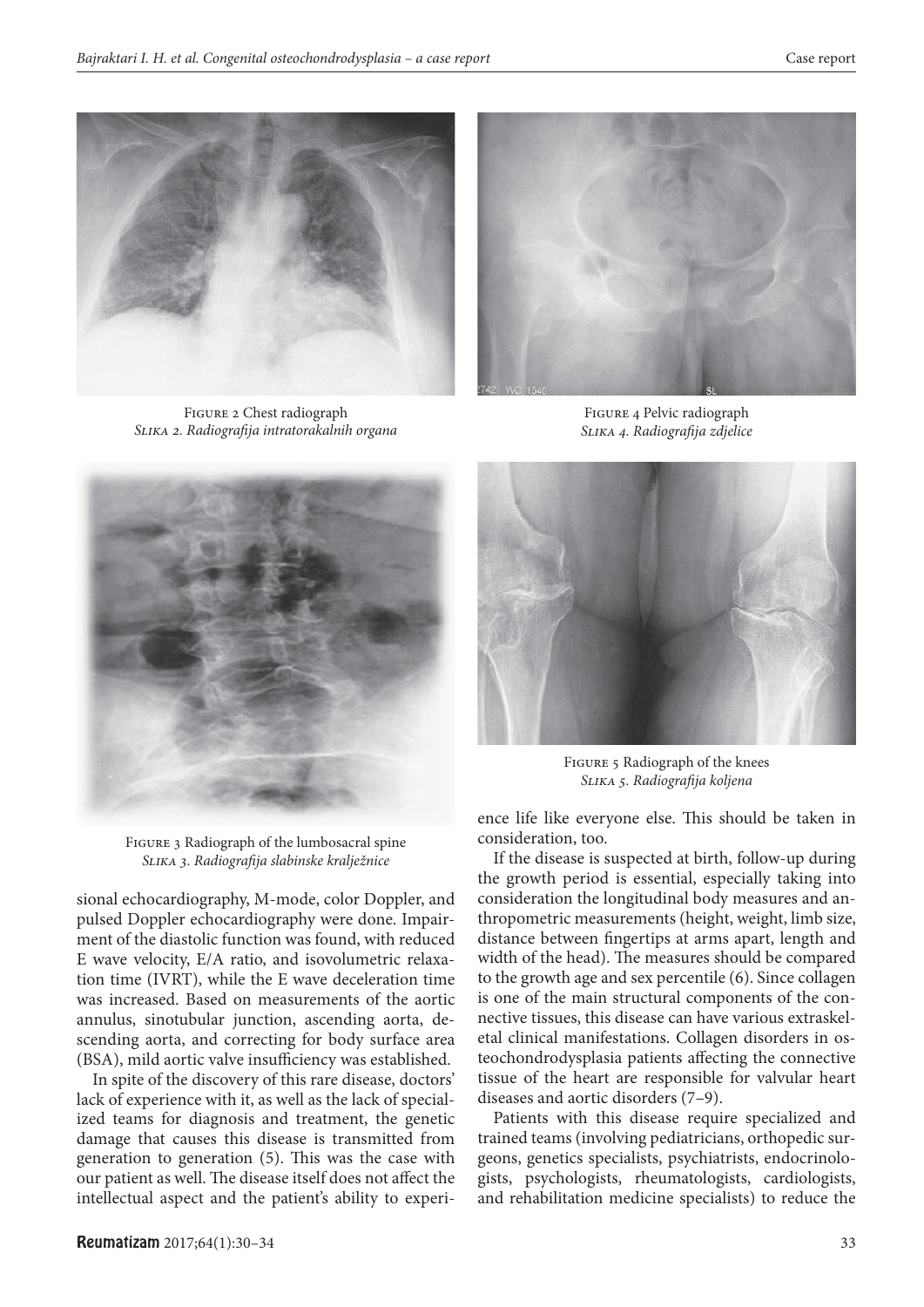

Figure 2 Chest radiograph *Slika 2. Radiografi ja intratorakalnih organa*



Figure 4 Pelvic radiograph *Slika 4. Radiografi ja zdjelice*





Figure 5 Radiograph of the knees *Slika 5. Radiografi ja koljena*

Figure 3 Radiograph of the lumbosacral spine *Slika 3. Radiografi ja slabinske kralježnice*

sional echocardiography, M-mode, color Doppler, and pulsed Doppler echocardiography were done. Impairment of the diastolic function was found, with reduced E wave velocity, E/A ratio, and isovolumetric relaxation time (IVRT), while the E wave deceleration time was increased. Based on measurements of the aortic annulus, sinotubular junction, ascending aorta, descending aorta, and correcting for body surface area (BSA), mild aortic valve insufficiency was established.

In spite of the discovery of this rare disease, doctors' lack of experience with it, as well as the lack of specialized teams for diagnosis and treatment, the genetic damage that causes this disease is transmitted from generation to generation  $(5)$ . This was the case with our patient as well. The disease itself does not affect the intellectual aspect and the patient's ability to experience life like everyone else. This should be taken in consideration, too.

If the disease is suspected at birth, follow-up during the growth period is essential, especially taking into consideration the longitudinal body measures and anthropometric measurements (height, weight, limb size, distance between fingertips at arms apart, length and width of the head). The measures should be compared to the growth age and sex percentile (6). Since collagen is one of the main structural components of the connective tissues, this disease can have various extraskeletal clinical manifestations. Collagen disorders in osteochondrodysplasia patients affecting the connective tissue of the heart are responsible for valvular heart diseases and aortic disorders (7–9).

Patients with this disease require specialized and trained teams (involving pediatricians, orthopedic surgeons, genetics specialists, psychiatrists, endocrinologists, psychologists, rheumatologists, cardiologists, and rehabilitation medicine specialists) to reduce the